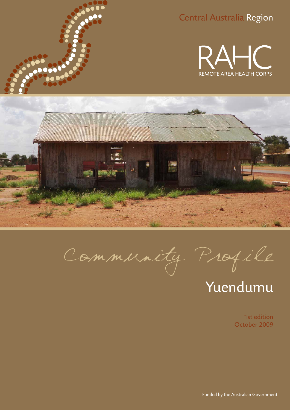

### Central Australia Region





Community Profile

# Yuendumu

1st edition October 2009

Funded by the Australian Government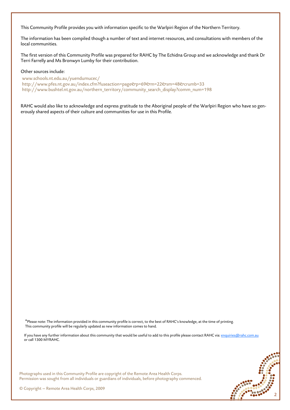This Community Profile provides you with information specific to the Warlpiri Region of the Northern Territory.

The information has been compiled though a number of text and internet resources, and consultations with members of the local communities.

The first version of this Community Profile was prepared for RAHC by The Echidna Group and we acknowledge and thank Dr Terri Farrelly and Ms Bronwyn Lumby for their contribution.

#### Other sources include:

www.schools.nt.edu.au/yuendumucec/ http://www.pfes.nt.gov.au/index.cfm?fuseaction=page&p=69&m=22&sm=48&crumb=33 http://www.bushtel.nt.gov.au/northern\_territory/community\_search\_display?comm\_num=198

RAHC would also like to acknowledge and express gratitude to the Aboriginal people of the Warlpiri Region who have so generously shared aspects of their culture and communities for use in this Profile.

\*Please note: The information provided in this community profile is correct, to the best of RAHC's knowledge, at the time of printing. This community profile will be regularly updated as new information comes to hand.

If you have any further information about this community that would be useful to add to this profile please contact RAHC via: enquiries@rahc.com.au or call 1300 MYRAHC.



Photographs used in this Community Profile are copyright of the Remote Area Health Corps. Permission was sought from all individuals or guardians of individuals, before photography commenced.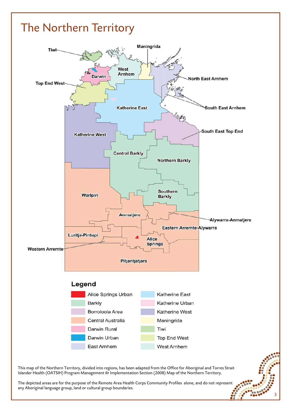### The Northern Territory



This map of the Northern Territory, divided into regions, has been adapted from the Office for Aboriginal and Torres Strait Islander Health (OATSIH) Program Management  $e^f$  Implementation Section (2008) Map of the Northern Territory.

The depicted areas are for the purpose of the Remote Area Health Corps Community Profiles alone, and do not represent any Aboriginal language group, land or cultural group boundaries.

3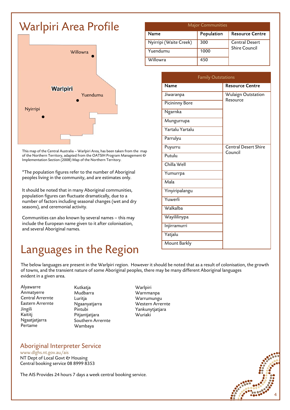## Warlpiri Area Profile



This map of the Central Australia – Warlpiri Area, has been taken from the map of the Northern Territory, adapted from the OATSIH Program Management & Implementation Section (2008) Map of the Northern Territory.

\*The population figures refer to the number of Aboriginal peoples living in the community, and are estimates only.

It should be noted that in many Aboriginal communities, population figures can fluctuate dramatically, due to a number of factors including seasonal changes (wet and dry seasons), and ceremonial activity.

Communities can also known by several names – this may include the European name given to it after colonisation, and several Aboriginal names.

### Languages in the Region

| <b>Major Communities</b> |            |                                               |  |
|--------------------------|------------|-----------------------------------------------|--|
| <b>Name</b>              | Population | <b>Resource Centre</b>                        |  |
| Nyirripi (Waite Creek)   | 300        | <b>Central Desert</b><br><b>Shire Council</b> |  |
| Yuendumu                 | 1000       |                                               |  |
| Willowra                 | 450        |                                               |  |

| <b>Family Outstations</b> |                                |  |
|---------------------------|--------------------------------|--|
| Name                      | <b>Resource Centre</b>         |  |
| Jiwaranpa                 | Wulaign Outstation<br>Resource |  |
| <b>Picininny Bore</b>     |                                |  |
| Ngarnka                   |                                |  |
| Mungurrupa                |                                |  |
| Yartalu Yartalu           |                                |  |
| Parrulyu                  |                                |  |
| Puyurru                   | <b>Central Desert Shire</b>    |  |
| Putulu                    | Council                        |  |
| Chilla Well               |                                |  |
| Yumurrpa                  |                                |  |
| Mala                      |                                |  |
| Yinyiripalangu            |                                |  |
| Yuwerli                   |                                |  |
| Walkalba                  |                                |  |
| Wayililinypa              |                                |  |
| Injirramurri              |                                |  |
| Yatjalu                   |                                |  |
| Mount Barkly              |                                |  |

The below languages are present in the Warlpiri region. However it should be noted that as a result of colonisation, the growth of towns, and the transient nature of some Aboriginal peoples, there may be many different Aboriginal languages evident in a given area.

- Alyawarre Anmatyerre Central Arrernte Eastern Arrernte Jingili Kaititj Ngaatjatjarra Pertame
- Kutkatja Mudbarra Luritja Ngaanyatjarra Pintubi Pitjantjatjara Southern Arrernte Wambaya
- **Warlpiri** Warnmanpa Warrumungu Western Arrernte Yankunytjatjara Wuriaki

Aboriginal Interpreter Service

www.dlghs.nt.gov.au/ais NT Dept of Local Govt & Housing Central booking service 08 8999 8353

The AIS Provides 24 hours 7 days a week central booking service.

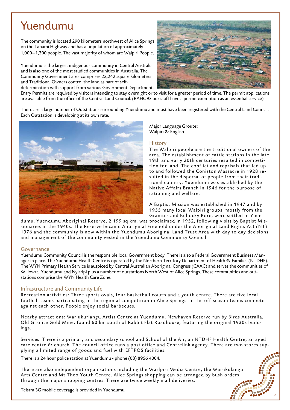### Yuendumu

The community is located 290 kilometers northwest of Alice Springs on the Tanami Highway and has a population of approximately 1,000—1,300 people. The vast majority of whom are Walpiri People.

Yuendumu is the largest indigenous community in Central Australia and is also one of the most studied communities in Australia. The Community Government area comprises 22,242 square kilometers and Traditional Owners control the land as part of selfdetermination with support from various Government Departments.



Entry Permits are required by visitors intending to stay overnight or to visit for a greater period of time. The permit applications are available from the office of the Central Land Council. (RAHC & our staff have a permit exemption as an essential service)

There are a large number of Outstations surrounding Yuendumu and most have been registered with the Central Land Council. Each Outstation is developing at its own rate.



Major Language Groups: Walpiri & English

#### **History**

The Walpiri people are the traditional owners of the area. The establishment of cattle stations in the late 19th and early 20th centuries resulted in competition for land. The conflict and reprisals that led up to and followed the Coniston Massacre in 1928 resulted in the dispersal of people from their traditional country. Yuendumu was established by the Native Affairs Branch in 1946 for the purpose of rationing and welfare.

A Baptist Mission was established in 1947 and by 1955 many local Walpiri groups, mostly from the Granites and Bullocky Bore, were settled in Yuen-

5

dumu. Yuendumu Aboriginal Reserve, 2,199 sq km, was proclaimed in 1952, following visits by Baptist Missionaries in the 1940s. The Reserve became Aboriginal Freehold under the Aboriginal Land Rights Act (NT) 1976 and the community is now within the Yuendumu Aboriginal Land Trust Area with day to day decisions and management of the community vested in the Yuendumu Community Council.

#### Governance

Yuendumu Community Council is the responsible local Government body. There is also a Federal Government Business Manager in place. The Yuendumu Health Centre is operated by the Northern Territory Department of Health & Families (NTDHF). The WYN Primary Health Service is auspiced by Central Australian Aboriginal Congress (CAAC) and serves the communities of Willowra, Yuendumu and Nyirripi plus a number of outstations North West of Alice Springs. These communities and outstations comprise the WYN Health Care Zone.

#### Infrastructure and Community Life

Recreation activities: Three sports ovals, four basketball courts and a youth centre. There are five local football teams participating in the regional competition in Alice Springs. In the off-season teams compete against each other. People enjoy social barbecues.

Nearby attractions: Warlukurlangu Artist Centre at Yuendumu, Newhaven Reserve run by Birds Australia, Old Granite Gold Mine, found 60 km south of Rabbit Flat Roadhouse, featuring the original 1930s buildings.

Services: There is a primary and secondary school and School of the Air, an NTDHF Health Centre, an aged care centre & church. The council office runs a post office and Centrelink agency. There are two stores supplying a limited range of goods and fuel with EFTPOS facilities.

There is a 24 hour police station at Yuendumu - phone (08) 8956 4004.

There are also independent organisations including the Warlpiri Media Centre, the Warukulangu Arts Centre and Mt Theo Youth Centre. Alice Springs shopping can be arranged by bush orders through the major shopping centres. There are twice weekly mail deliveries.

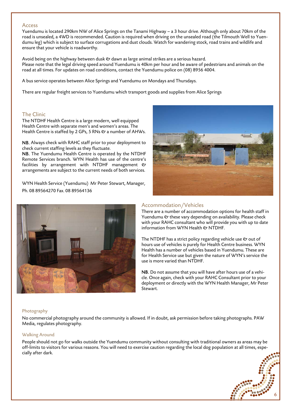#### Access

Yuendumu is located 290km NW of Alice Springs on the Tanami Highway – a 3 hour drive. Although only about 70km of the road is unsealed, a 4WD is recommended. Caution is required when driving on the unsealed road (the Tilmouth Well to Yuendumu leg) which is subject to surface corrugations and dust clouds. Watch for wandering stock, road trains and wildlife and ensure that your vehicle is roadworthy.

Avoid being on the highway between dusk  $e$  dawn as large animal strikes are a serious hazard. Please note that the legal driving speed around Yuendumu is 40km per hour and be aware of pedestrians and animals on the road at all times. For updates on road conditions, contact the Yuendumu police on (08) 8956 4004.

A bus service operates between Alice Springs and Yuendumu on Mondays and Thursdays.

There are regular freight services to Yuendumu which transport goods and supplies from Alice Springs

#### The Clinic

The NTDHF Health Centre is a large modern, well equipped Health Centre with separate men's and women's areas. The Health Centre is staffed by 2 GPs, 5 RNs & a number of AHWs.

NB. Always check with RAHC staff prior to your deployment to check current staffing levels as they fluctuate.

NB. The Yuendumu Health Centre is operated by the NTDHF Remote Services branch. WYN Health has use of the centre's facilities by arrangement with NTDHF management  $O$ arrangements are subject to the current needs of both services.

WYN Health Service (Yuendumu) Mr Peter Stewart, Manager, Ph. 08 89564270 Fax. 08 89564136



### Accommodation/Vehicles

There are a number of accommodation options for health staff in Yuendumu  $\mathfrak o$  these vary depending on availability. Please check with your RAHC consultant who will provide you with up to date information from WYN Health  $\mathfrak O$  NTDHF.

The NTDHF has a strict policy regarding vehicle use  $\mathfrak O$  out of hours use of vehicles is purely for Health Centre business. WYN Health has a number of vehicles based in Yuendumu. These are for Health Service use but given the nature of WYN's service the use is more varied than NTDHF.

NB. Do not assume that you will have after hours use of a vehicle. Once again, check with your RAHC Consultant prior to your deployment or directly with the WYN Health Manager, Mr Peter Stewart.

#### Photography

No commercial photography around the community is allowed. If in doubt, ask permission before taking photographs. PAW Media, regulates photography.

#### Walking Around

People should not go for walks outside the Yuendumu community without consulting with traditional owners as areas may be off-limits to visitors for various reasons. You will need to exercise caution regarding the local dog population at all times, especially after dark.

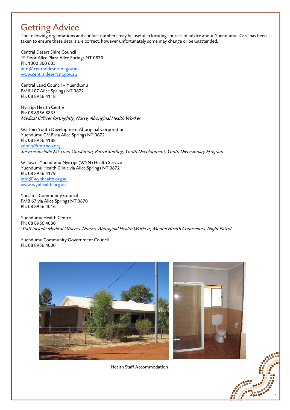### Getting Advice

The following organisations and contact numbers may be useful in locating sources of advice about Yuendumu. Care has been taken to ensure these details are correct, however unfortunately some may change or be unattended.

Central Desert Shire Council 1<sup>st</sup> Floor Alice Plaza Alice Springs NT 0870 Ph: 1300 360 605 info@centraldesert.nt.gov.au www.centraldesert.nt.gov.au

Central Land Council – Yuendumu PMB 107 Alice Springs NT 0872 Ph: 08 8956 4118

Nyirripi Health Centre Ph: 08 8956 8835 Medical Officer fortnightly, Nurse, Aboriginal Health Worker

Warlpiri Youth Development Aboriginal Corporation Yuendumu CMB via Alice Springs NT 0872 Ph: 08 8956 4188 admin@mttheo.org Services include Mt Theo Outstation, Petrol Sniffing, Youth Development, Youth Diversionary Program

Willowra Yuendumu Nyirripi (WYN) Health Service Yuendumu Health Clinic via Alice Springs NT 0872 Ph: 08 8956 4179 info@wynhealth.org.au www.wynhealth.org.au

Yuelama Community Council PMB 67 via Alice Springs NT 0870 Ph: 08 8956 4016

Yuendumu Health Centre Ph: 08 8956 4030 Staff include Medical Officers, Nurses, Aboriginal Health Workers, Mental Health Counsellors, Night Patrol

Yuendumu Community Government Council Ph: 08 8956 4000





7

Health Staff Accommodation